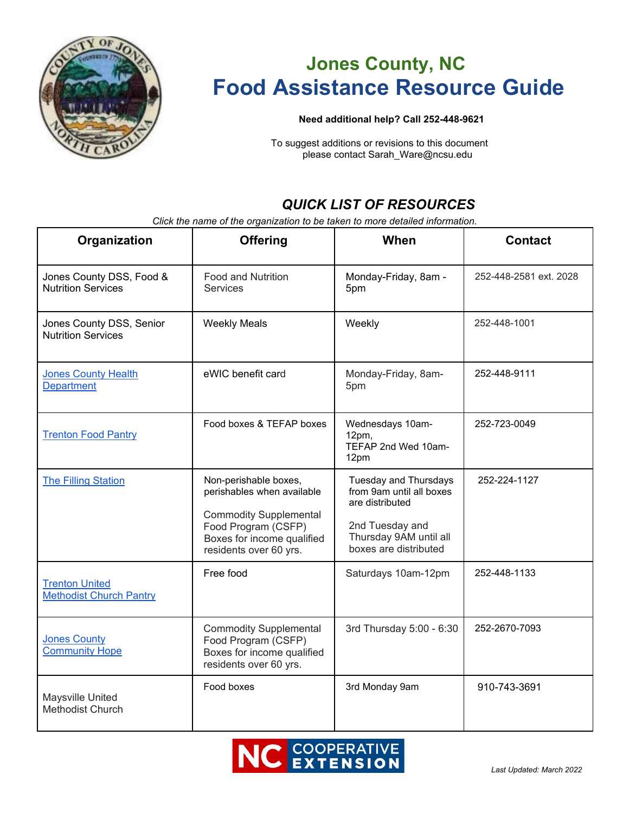

# **Jones County, NC Food Assistance Resource Guide**

#### **Need additional help? Call 252-448-9621**

To suggest additions or revisions to this document please contact Sarah\_Ware@ncsu.edu

# *QUICK LIST OF RESOURCES*

*Click the name of the organization to be taken to more detailed information.* 

| Organization                                            | <b>Offering</b>                                                                                                                                                     | When                                                                                                                                              | <b>Contact</b>         |
|---------------------------------------------------------|---------------------------------------------------------------------------------------------------------------------------------------------------------------------|---------------------------------------------------------------------------------------------------------------------------------------------------|------------------------|
| Jones County DSS, Food &<br><b>Nutrition Services</b>   | <b>Food and Nutrition</b><br><b>Services</b>                                                                                                                        | Monday-Friday, 8am -<br>5pm                                                                                                                       | 252-448-2581 ext. 2028 |
| Jones County DSS, Senior<br><b>Nutrition Services</b>   | <b>Weekly Meals</b>                                                                                                                                                 | Weekly                                                                                                                                            | 252-448-1001           |
| <b>Jones County Health</b><br><b>Department</b>         | eWIC benefit card                                                                                                                                                   | Monday-Friday, 8am-<br>5pm                                                                                                                        | 252-448-9111           |
| <b>Trenton Food Pantry</b>                              | Food boxes & TEFAP boxes                                                                                                                                            | Wednesdays 10am-<br>12pm,<br>TEFAP 2nd Wed 10am-<br>12pm                                                                                          | 252-723-0049           |
| <b>The Filling Station</b>                              | Non-perishable boxes,<br>perishables when available<br><b>Commodity Supplemental</b><br>Food Program (CSFP)<br>Boxes for income qualified<br>residents over 60 yrs. | <b>Tuesday and Thursdays</b><br>from 9am until all boxes<br>are distributed<br>2nd Tuesday and<br>Thursday 9AM until all<br>boxes are distributed | 252-224-1127           |
| <b>Trenton United</b><br><b>Methodist Church Pantry</b> | Free food                                                                                                                                                           | Saturdays 10am-12pm                                                                                                                               | 252-448-1133           |
| <b>Jones County</b><br><b>Community Hope</b>            | <b>Commodity Supplemental</b><br>Food Program (CSFP)<br>Boxes for income qualified<br>residents over 60 yrs.                                                        | 3rd Thursday 5:00 - 6:30                                                                                                                          | 252-2670-7093          |
| Maysville United<br><b>Methodist Church</b>             | Food boxes                                                                                                                                                          | 3rd Monday 9am                                                                                                                                    | 910-743-3691           |

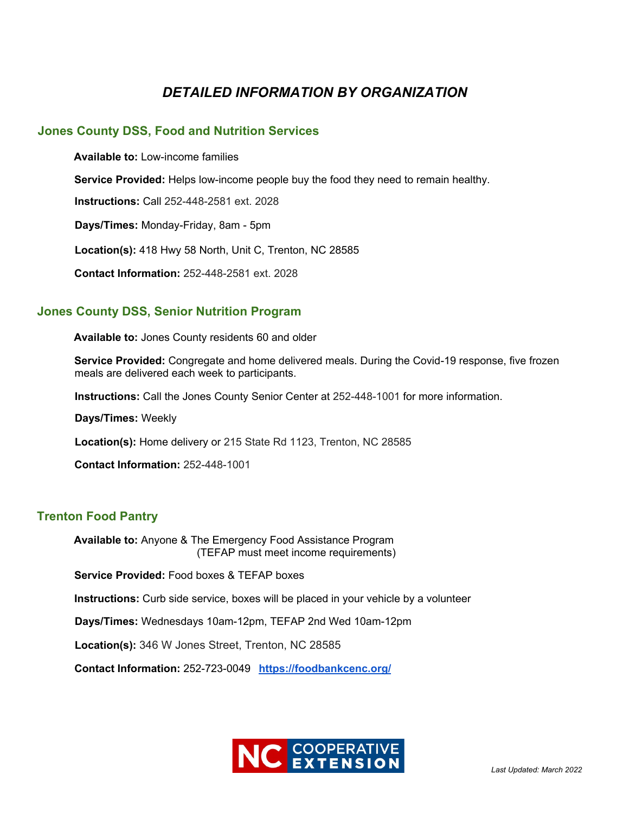# *DETAILED INFORMATION BY ORGANIZATION*

## **Jones County DSS, Food and Nutrition Services**

**Available to:** Low-income families **Service Provided:** Helps low-income people buy the food they need to remain healthy. **Instructions:** Call 252-448-2581 ext. 2028 **Days/Times:** Monday-Friday, 8am - 5pm **Location(s):** 418 Hwy 58 North, Unit C, Trenton, NC 28585 **Contact Information:** 252-448-2581 ext. 2028

# **Jones County DSS, Senior Nutrition Program**

**Available to:** Jones County residents 60 and older

**Service Provided:** Congregate and home delivered meals. During the Covid-19 response, five frozen meals are delivered each week to participants.

**Instructions:** Call the Jones County Senior Center at 252-448-1001 for more information.

**Days/Times:** Weekly

**Location(s):** Home delivery or 215 State Rd 1123, Trenton, NC 28585

**Contact Information:** 252-448-1001

# **Trenton Food Pantry**

**Available to:** Anyone & The Emergency Food Assistance Program (TEFAP must meet income requirements)

**Service Provided:** Food boxes & TEFAP boxes

**Instructions:** Curb side service, boxes will be placed in your vehicle by a volunteer

**Days/Times:** Wednesdays 10am-12pm, TEFAP 2nd Wed 10am-12pm

**Location(s):** 346 W Jones Street, Trenton, NC 28585

**Contact Information:** 252-723-0049 **<https://foodbankcenc.org/>**

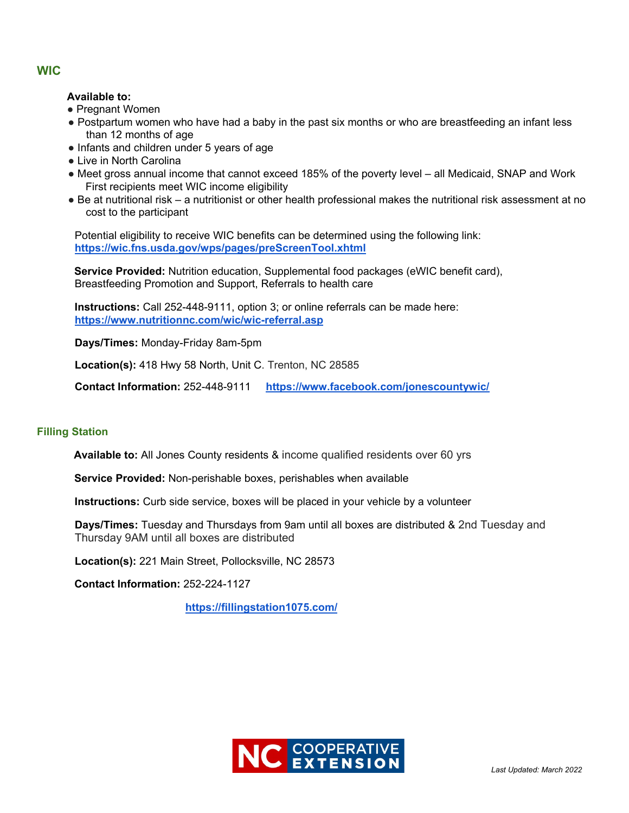#### **Available to:**

- Pregnant Women
- Postpartum women who have had a baby in the past six months or who are breastfeeding an infant less than 12 months of age
- Infants and children under 5 years of age
- Live in North Carolina
- Meet gross annual income that cannot exceed 185% of the poverty level all Medicaid, SNAP and Work First recipients meet WIC income eligibility
- Be at nutritional risk a nutritionist or other health professional makes the nutritional risk assessment at no cost to the participant

Potential eligibility to receive WIC benefits can be determined using the following link: **https://wic.fns.usda.gov/wps/pages/preScreenTool.xhtml** 

**Service Provided:** Nutrition education, Supplemental food packages (eWIC benefit card), Breastfeeding Promotion and Support, Referrals to health care

**Instructions:** Call 252-448-9111, option 3; or online referrals can be made here: **https://www.nutritionnc.com/wic/wic-referral.asp** 

**Days/Times:** Monday-Friday 8am-5pm

**Location(s):** 418 Hwy 58 North, Unit C. Trenton, NC 28585

**Contact Information:** 252-448-9111 **https://www.facebook.com/jonescountywic/**

#### **Filling Station**

**Available to:** All Jones County residents & income qualified residents over 60 yrs

**Service Provided:** Non-perishable boxes, perishables when available

**Instructions:** Curb side service, boxes will be placed in your vehicle by a volunteer

**Days/Times:** Tuesday and Thursdays from 9am until all boxes are distributed & 2nd Tuesday and Thursday 9AM until all boxes are distributed

**Location(s):** 221 Main Street, Pollocksville, NC 28573

**Contact Information:** 252-224-1127

**<https://fillingstation1075.com/>**



### **WIC**